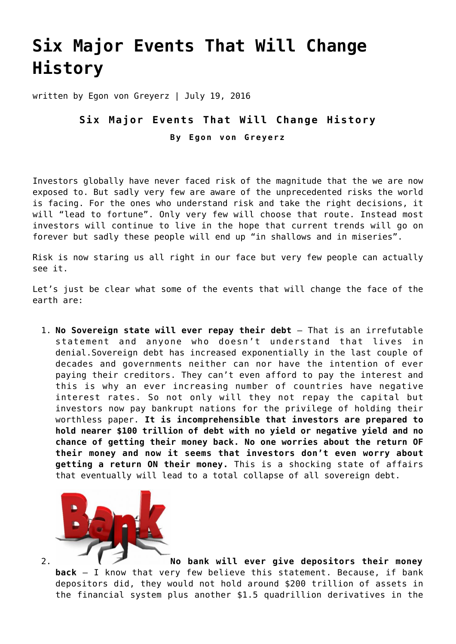## **[Six Major Events That Will Change](https://goldswitzerland.com/six-major-events-that-will-change-history/) [History](https://goldswitzerland.com/six-major-events-that-will-change-history/)**

written by Egon von Greyerz | July 19, 2016

## **Six Major Events That Will Change History By Egon von Greyerz**

Investors globally have never faced risk of the magnitude that the we are now exposed to. But sadly very few are aware of the unprecedented risks the world is facing. For the ones who understand risk and take the right decisions, it will "lead to fortune". Only very few will choose that route. Instead most investors will continue to live in the hope that current trends will go on forever but sadly these people will end up "in shallows and in miseries".

Risk is now staring us all right in our face but very few people can actually see it.

Let's just be clear what some of the events that will change the face of the earth are:

1. **No Sovereign state will ever repay their debt** – That is an irrefutable statement and anyone who doesn't understand that lives in denial.Sovereign debt has increased exponentially in the last couple of decades and governments neither can nor have the intention of ever paying their creditors. They can't even afford to pay the interest and this is why an ever increasing number of countries have negative interest rates. So not only will they not repay the capital but investors now pay bankrupt nations for the privilege of holding their worthless paper. **It is incomprehensible that investors are prepared to hold nearer \$100 trillion of debt with no yield or negative yield and no chance of getting their money back. No one worries about the return OF their money and now it seems that investors don't even worry about getting a return ON their money.** This is a shocking state of affairs that eventually will lead to a total collapse of all sovereign debt.



2. **[N](http://goldswitzerland.com/wp-content/uploads/2016/07/Screen-Shot-2016-07-19-at-11.23.58.png)o bank will ever give depositors their money back** – I know that very few believe this statement. Because, if bank depositors did, they would not hold around \$200 trillion of assets in the financial system plus another \$1.5 quadrillion derivatives in the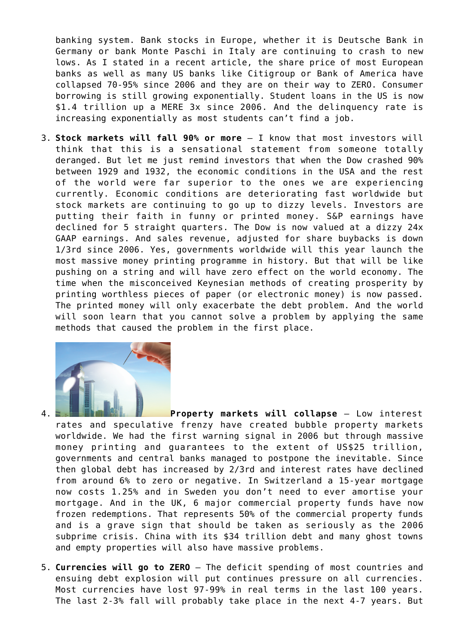banking system. Bank stocks in Europe, whether it is Deutsche Bank in Germany or bank Monte Paschi in Italy are continuing to crash to new lows. As I stated in a recent article, the share price of most European banks as well as many US banks like Citigroup or Bank of America have collapsed 70-95% since 2006 and they are on their way to ZERO. Consumer borrowing is still growing exponentially. Student loans in the US is now \$1.4 trillion up a MERE 3x since 2006. And the delinquency rate is increasing exponentially as most students can't find a job.

3. **Stock markets will fall 90% or more** – I know that most investors will think that this is a sensational statement from someone totally deranged. But let me just remind investors that when the Dow crashed 90% between 1929 and 1932, the economic conditions in the USA and the rest of the world were far superior to the ones we are experiencing currently. Economic conditions are deteriorating fast worldwide but stock markets are continuing to go up to dizzy levels. Investors are putting their faith in funny or printed money. S&P earnings have declined for 5 straight quarters. The Dow is now valued at a dizzy 24x GAAP earnings. And sales revenue, adjusted for share buybacks is down 1/3rd since 2006. Yes, governments worldwide will this year launch the most massive money printing programme in history. But that will be like pushing on a string and will have zero effect on the world economy. The time when the misconceived Keynesian methods of creating prosperity by printing worthless pieces of paper (or electronic money) is now passed. The printed money will only exacerbate the debt problem. And the world will soon learn that you cannot solve a problem by applying the same methods that caused the problem in the first place.



4. **[P](http://goldswitzerland.com/wp-content/uploads/2016/07/Screen-Shot-2016-07-18-at-23.37.02.png)roperty markets will collapse** – Low interest rates and speculative frenzy have created bubble property markets worldwide. We had the first warning signal in 2006 but through massive money printing and guarantees to the extent of US\$25 trillion, governments and central banks managed to postpone the inevitable. Since then global debt has increased by 2/3rd and interest rates have declined from around 6% to zero or negative. In Switzerland a 15-year mortgage now costs 1.25% and in Sweden you don't need to ever amortise your mortgage. And in the UK, 6 major commercial property funds have now frozen redemptions. That represents 50% of the commercial property funds and is a grave sign that should be taken as seriously as the 2006 subprime crisis. China with its \$34 trillion debt and many ghost towns and empty properties will also have massive problems.

5. **Currencies will go to ZERO** – The deficit spending of most countries and ensuing debt explosion will put continues pressure on all currencies. Most currencies have lost 97-99% in real terms in the last 100 years. The last 2-3% fall will probably take place in the next 4-7 years. But